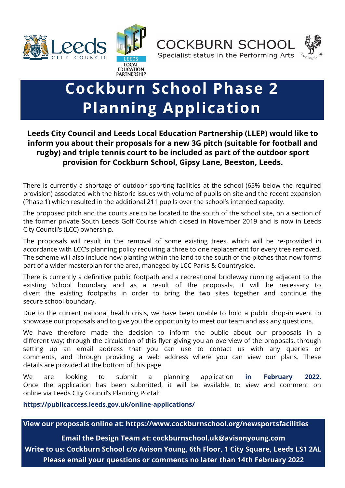



**COCKBURN SCHOOL** Specialist status in the Performing Arts



## **Cockburn School Phase 2 Planning Application**

**Leeds City Council and Leeds Local Education Partnership (LLEP) would like to inform you about their proposals for a new 3G pitch (suitable for football and rugby) and triple tennis court to be included as part of the outdoor sport provision for Cockburn School, Gipsy Lane, Beeston, Leeds.**

There is currently a shortage of outdoor sporting facilities at the school (65% below the required provision) associated with the historic issues with volume of pupils on site and the recent expansion (Phase 1) which resulted in the additional 211 pupils over the school's intended capacity.

The proposed pitch and the courts are to be located to the south of the school site, on a section of the former private South Leeds Golf Course which closed in November 2019 and is now in Leeds City Council's (LCC) ownership.

The proposals will result in the removal of some existing trees, which will be re-provided in accordance with LCC's planning policy requiring a three to one replacement for every tree removed. The scheme will also include new planting within the land to the south of the pitches that now forms part of a wider masterplan for the area, managed by LCC Parks & Countryside.

There is currently a definitive public footpath and a recreational bridleway running adjacent to the existing School boundary and as a result of the proposals, it will be necessary to divert the existing footpaths in order to bring the two sites together and continue the secure school boundary.

Due to the current national health crisis, we have been unable to hold a public drop-in event to showcase our proposals and to give you the opportunity to meet our team and ask any questions.

We have therefore made the decision to inform the public about our proposals in a different way; through the circulation of this flyer giving you an overview of the proposals, through setting up an email address that you can use to contact us with any queries or comments, and through providing a web address where you can view our plans. These details are provided at the bottom of this page.

We are looking to submit a planning application **in February 2022.**  Once the application has been submitted, it will be available to view and comment on online via Leeds City Council's Planning Portal:

**https://publicaccess.leeds.gov.uk/online-applications/** 

**View our proposals online at: <https://www.cockburnschool.org/newsportsfacilities>**

**Email the Design Team at: cockburnschool.uk@avisonyoung.com Write to us: Cockburn School c/o Avison Young, 6th Floor, 1 City Square, Leeds LS1 2AL Please email your questions or comments no later than 14th February 2022**